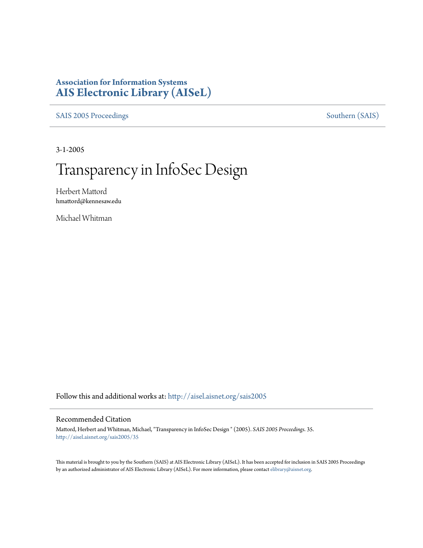### **Association for Information Systems [AIS Electronic Library \(AISeL\)](http://aisel.aisnet.org?utm_source=aisel.aisnet.org%2Fsais2005%2F35&utm_medium=PDF&utm_campaign=PDFCoverPages)**

[SAIS 2005 Proceedings](http://aisel.aisnet.org/sais2005?utm_source=aisel.aisnet.org%2Fsais2005%2F35&utm_medium=PDF&utm_campaign=PDFCoverPages) [Southern \(SAIS\)](http://aisel.aisnet.org/sais?utm_source=aisel.aisnet.org%2Fsais2005%2F35&utm_medium=PDF&utm_campaign=PDFCoverPages)

3-1-2005

# Transparency in InfoSec Design

Herbert Mattord hmattord@kennesaw.edu

Michael Whitman

Follow this and additional works at: [http://aisel.aisnet.org/sais2005](http://aisel.aisnet.org/sais2005?utm_source=aisel.aisnet.org%2Fsais2005%2F35&utm_medium=PDF&utm_campaign=PDFCoverPages)

#### Recommended Citation

Mattord, Herbert and Whitman, Michael, "Transparency in InfoSec Design " (2005). *SAIS 2005 Proceedings*. 35. [http://aisel.aisnet.org/sais2005/35](http://aisel.aisnet.org/sais2005/35?utm_source=aisel.aisnet.org%2Fsais2005%2F35&utm_medium=PDF&utm_campaign=PDFCoverPages)

This material is brought to you by the Southern (SAIS) at AIS Electronic Library (AISeL). It has been accepted for inclusion in SAIS 2005 Proceedings by an authorized administrator of AIS Electronic Library (AISeL). For more information, please contact [elibrary@aisnet.org](mailto:elibrary@aisnet.org%3E).